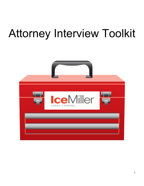# Attorney Interview Toolkit

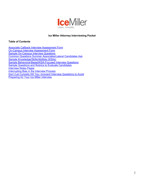

# **Ice Miller Attorney Interviewing Packet**

# **Table of Contents**

Associate Callback Interview Assessment Form On-Campus Interview Assessment Form Sample On-Campus Interview Questions Common Questions Summer Associates/Lateral Candidates Ask Sample Knowledge/Skills/Abilities (KSAs) Sample Behavioral-Based/KSA-Focused Interview Questions Sample Questions and Rubrics to Evaluate Candidates **Interview Notes Pages Interrupting Bias in the Interview Process** Don't Let Curiosity Kill You: Innocent Interview Questions to Avoid Preparing for Your Ice Miller Interview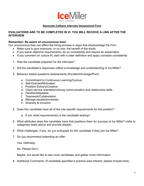

# **Associate Callback Interview Assessment Form**

# **EVALUATIONS ARE TO BE COMPLETED IN VI. YOU WILL RECEIVE A LINK AFTER THE INTERVIEW**

# **Remember: Be aware of unconscious bias!**

Our unconscious bias can affect the hiring process in ways that disadvantage the Firm.

- Make sure to give everyone, or no one, the benefit of the doubt
- If you waive objective requirements, do so consistently and require an explanation
- If you comment on culture fit, start with a clear definition and apply concepts consistently
- 1. Was the candidate prepared for the interview?
- 2. Did the candidate's responses reflect a knowledge and understanding of Ice Miller?
- 3. Behavior based questions assessments (Excellent/Average/Poor):
	- a. Commitment to Continuous Learning/Curious
	- b. Self-Directed/Motivated
	- c. Problem-Solvers/Creative
	- d. Client service orientation/strong communication and relationship skills
	- e. Flexible/Adaptable
	- f. Teamwork/Collaboration
	- g. Manage people/processes
	- h. Diversity & inclusion
- 4. Does this candidate have all of the role specific requirements for this position?
	- a. If not, what requirement(s) is the candidate lacking?
- 5. What attributes does this candidate have that positions them for success at Ice Miller? (refer to categories listed above and provide details)
- 6. What challenges, if any, do you anticipate for this candidate if they join Ice Miller?
- 7. Do you recommend extending an offer:

Yes, Definitely.

No, Please Don't.

Maybe, but would like to see more candidates and gather more information.

8. Additional Comments: (if candidate specified a practice area interest, please include here)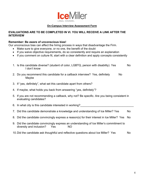

# **On-Campus Interview Assessment Form**

# **EVALUATIONS ARE TO BE COMPLETED IN VI. YOU WILL RECEIVE A LINK AFTER THE INTERVIEW**

# **Remember: Be aware of unconscious bias!**

Our unconscious bias can affect the hiring process in ways that disadvantage the Firm.

- Make sure to give everyone, or no one, the benefit of the doubt
- If you waive objective requirements, do so consistently and require an explanation
- If you comment on culture fit, start with a clear definition and apply concepts consistently

| 1. Is this candidate diverse? (student of color, LGBTQ, person with disability) Yes<br>don't know | <b>No</b> |
|---------------------------------------------------------------------------------------------------|-----------|
| 2. Do you recommend this candidate for a callback interview? Yes, definitely<br>No.               |           |

- Maybe
- 3. If "yes, definitely", what set this candidate apart from others?
- 4. If maybe, what holds you back from answering "yes, definitely"?
- 5. If you are not recommending a callback, why not? Be specific. Are you being consistent in evaluating candidates?

6. In what city is this candidate interested in working?

- 7. Did this candidate demonstrate a knowledge and understanding of Ice Miller? Yes No
- 8. Did the candidate convincingly express a reason(s) for their interest in Ice Miller? Yes No
- 9. Did the candidate convincingly express an understanding of Ice Miller's commitment to diversity and inclusion? Yes NO
- 10. Did the candidate ask thoughtful and reflective questions about Ice Miller? Yes No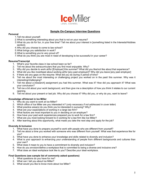

# **Sample On-Campus Interview Questions**

#### **Personal**

- 1.Tell me about yourself.
- 2.What is something interesting about you that is not on your resume?
- 3.What do you do for fun, in your free time? Tell me about your interest in [something listed in the Interests/Hobbies section].
- 4.Why did you choose to come to law school?
- 5.What brings you satisfaction in work?
- 6.What is something you're very proud of?
- 7.What do you think you are most in need of developing to be successful in your career?

# **Resume/Transcript**

- 1. What's your favorite class in law school been so far?
- 2. Tell me about the extracurriculars that you find most enjoyable. Why?
- 3. Why did you decide to work at/for [Employer] this summer? What did you like/not like about that experience?
- 4. What did you like most/least about working at/for [any past employer]? Why did you leave [any past employer]
- 5. If there are any gaps on the resume: What did you do during X period of time?
- 6. Tell me about the most interesting or challenging project you worked on in the past/ this summer. Why was it interesting/challenging?
- 7. Tell me about a [research] assignment you had this summer. What was it? How did you approach it? What was your conclusion?
- 8. Tell me a bit about your work background, and then give me a description of how you think it relates to our current opening.
- 9. Tell me about your present or last job. Why did you choose it? Why did you, or why do you, want to leave?

# **Knowledge of/Interest in Ice Miller**

- 1. Why do you want to work at Ice Miller?
- 2. Which office of Ice Miller are you interested in? (*only necessary if not addressed in cover letter*)
- 3. What practice area(s) do you think you're interested in pursuing? Why?
- 4. What are your expectations of working in a large law firm?
- 5. What factors are most important to you in deciding on an employer?
- 6. How have your past work experiences prepared you to work for a law firm?
- 7. What are you most looking forward to in working for a law firm like Ice Miller?
- 8. After learning about this opportunity, what made you take the next step and apply for the job?

# **Diversity & Inclusion**

- 1. What have you done to prepare yourself to work with people who are different from yourself?
- 2. Tell me about a time you worked with someone who was different from yourself. What was that experience like for you?
- 3. What have you done to enhance your knowledge and skills related to diversity and inclusion?
- 4. What is your approach to enhancing your understanding of people from different backgrounds and cultures than your own?
- 5. What does it mean to you to have a commitment to diversity and inclusion?
- 6. How do you envision/define a workplace that is committed to being a diverse and inclusive one?
- 7. What does an ideal workplace look like to you? Describe your ideal workplace.

# **Final Questions (see sample list of commonly asked questions)**

- 1. What questions do you have for me?
- 2. What can I tell you about Ice Miller?
- 3. What would you like to know more about Ice Miller?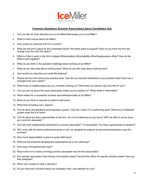

# **Common Questions Summer Associates/Lateral Candidates Ask**

- 1. Can you tell me what attracted you to Ice Miller/what keeps you at Ice Miller?
- 2. What is most unique about Ice Miller?
- 3. How would you describe the firm's culture?
- 4. What are the firm's plans for the immediate future? Are there plans to expand? How do you think the firm will change over the next five years?
- 5. What is it like to work in the firm's largest office/smallest office/satellite office/headquarters office? How do the offices work together?
- 6. What do you think is the greatest challenge about working at Ice Miller?
- 7. What do you like most about working here? What do you like least about working here?
- 8. How would you describe your work-life balance?
- 9. Please tell me more about your practice area. How did you become interested in your practice area? How has it changed over your career?
- 10. What kinds of matters/cases are you currently working on? What does an ordinary day look like for you?
- 11. Can you tell me about the most memorable matter you've worked on? What made it memorable?
- 12. What makes for a successful summer associate/associate at Ice Miller?
- 13. What do you think is required to perform well here?
- 14. What kind of training can I expect?
- 15. Tell me about the feedback and evaluation system. How will I know if I'm performing well? What kind of feedback system does the firm have?
- 16. Tell me about pro bono opportunities at the firm. Do a lot of attorneys do pro bono? Will I be able to do pro bono as a summer associate?
- 17. How are work assignments distributed to summer associates? To Associates? Are there opportunities to shadow?
- 18. Will I work with the same partners/practices or will I be assigned to projects across practices/partners over the summer?
- 19. How much responsibility is given to junior attorneys?
- 20. What are the business development expectations for junior attorneys?
- 21. How long is the partnership track?
- 22. What is the firm's history of hiring summer associates into full time associates?
- 23. Are summer associates hired directly into practice areas? Are full time offers for specific practice areas? How are they assigned?
- 24. When can I expect to hear a decision?
- 25. Do you have any concerns about my candidacy that I can address for you?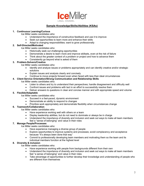

# **Sample Knowledge/Skills/Abilities (KSAs)**

# **1. Continuous Learning/Curious**

Ice Miller seeks candidates who:

- Understand the importance of constructive feedback and use it to improve
- Seek out opportunities to learn more and enhance their skills
- Adapt to changing responsibilities; want to grow professionally

#### **2. Self-Directed/Motivated**

Ice Miller seeks candidates who:

- Historically seek out challenging opportunities
- Demonstrate a desire to learn more and improve skillsets, even at the risk of failure
- Think about the greater context of a problem or project and how to advance them
- Consistently go beyond what is asked of them

# **3. Problem-Solvers/Creative**

- Ice Miller seeks candidates who:
	- Identify and analyze issues or problems appropriately and can identify creative and/or strategic solutions
	- Explain issues and analysis clearly and concisely
	- Continue to move projects forward even when faced with less than ideal circumstances

# **4. Client Service Orientation/Strong Communication and Relationship Skills**

Ice Miller seeks candidates who:

- Listen to others and try to understand their perspectives; handle disagreement and difficulty well
- Confront issues and problems with tact in an effort to successfully resolve them
- Deliver answers to questions in clear and concise manner and with appropriate speed and volume

# **5. Flexible/Adaptable**

Ice Miller seeks candidates who:

- Succeed in a fast-paced, dynamic environment
- Demonstrate an ability to respond to changes
- Prioritize work appropriately and demonstrate flexibility when circumstances change

# **6. Teamwork/Collaboration**

Ice Miller seeks candidates who:

- Have experience working well with others on a team
- Display leadership abilities, but do not need to dominate or always be in charge
- Understand the importance of diversity and inclusion and seek out ways to make all team members feel a "sense of belonging" and value in their roles

# **7. Manage People/Processes**

Ice Miller seeks candidates who:

- Have experience managing a diverse group of people
- Explore opportunities to improve systems and processes; avoid complacency and acceptance because "it's always been done that way"
- Commit to professionally developing team members and motivating them so the team and its individual members function at the highest level

# **8. Diversity & inclusion**

Ice Miller seeks candidates who:

- Have experience working with people from backgrounds different from their own
- Understand the importance of diversity and inclusion and seek out ways to make all team members feel "a sense of belonging" and value in their roles
- Take advantage of opportunities to further develop their knowledge and understanding of people who are different from themselves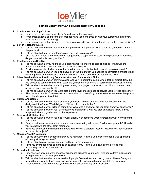

# **Sample Behavioral/KSA-Focused Interview Questions**

# **1. Continuous Learning/Curious**

- a. How have you advanced your skillset/knowledge in the past year?
- b. What organizational and technology changes have you gone through with your current/last employer? How did you handle that change?
- c. How has your current position evolved since you started? How did you handle the added responsibilities?

# **2. Self-Directed/Motivated**

- a. Tell me about a time when you identified a problem with a process. What steps did you take to improve the problem?
- b. Tell me about a time you went "above and beyond" on a project?
- c. Give me an example of a new idea you suggested to a supervisor or team in the past year. What steps did you take to implement your idea?

# **3. Problem-solvers/Creative**

- a. Tell me about a time you had to solve a significant problem or business challenge? What was the problem or challenge and how did you go about solving it?
- b. Provide an example of when you've had a setback on a project or task. How did you overcome it?
- c. Tell me about a time when you didn't have all of the information you needed to complete a project. What was the project and the missing information? What did you do? How did you handle this?

# **4. Client Service Orientation/Strong Communication and Relationship Skills**

- a. Tell me about a time when communication was very important to completing a task or project. How did you choose to communicate? What steps did you take to make sure all parties were kept well-informed?
- b. Tell me about a time when something went wrong on a project or at work. How did you communicate about the issue and resolve it?
- c. Tell me about a time when you were proud of the level of assistance or service you provided someone?
- d. Give me an example of a time when you were able to successfully persuade someone to see things your way. How did you achieve this?

# **5. Flexible/Adaptable**

- a. Tell me about a time when you didn't think you could accomplish everything you needed to in the designated timeframe. What did you do? How did you handle that?
- b. Tell me about a time you failed at something. What was it and what did you learn from that experience?
- c. Tell me about a time when your circumstances changed in a way you didn't anticipate? How did you adapt and what did you learn from the experience.

# **6. Teamwork/Collaboration**

- a. Tell me about a time when you had to work closely with someone whose personality was very different from yours.
- b. Can you tell me about your most recent experience working with a team? What was your role? How did you interact with the other team members?
- c. Have you ever worked with team members who were in a different location? How did you communicate and execute projects?

# **7. Manage People/Processes**

- a. Tell me about the most dynamic team you've managed. How did you ensure the team was operating efficiently at its highest level?
- b. Tell me about a process you manage and how you've improved it.
- c. Have you ever been hired to manage an existing team? How did you develop the professional relationship and transform the team?

# **8. Diversity & Inclusion**

- a. How has your previous work or school experience prepared you to work with people from cultures and backgrounds different from your own?
- b. Tell me about a time when you worked with people from cultures and backgrounds different from your own. What did you think was important about your role working with someone different from you?
- c. What have you done to enhance your knowledge about diversity and inclusion?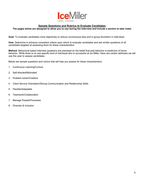

# **Sample Questions and Rubrics to Evaluate Candidates**

# **The pages below are designed to allow you to use during the interview and include a section to take notes**

**Goal**: To evaluate candidates more objectively to reduce unconscious bias and in-group favoritism in interviews

**How**: Determine in advance consistent criteria upon which to evaluate candidates and ask similar questions of all candidates targeted at assessing them for these characteristics

**Method:** Behavioral based interview questions are premised on the belief that past behavior is predictive of future behavior. While there is no one specific kind of individual who is successful at Ice Miller, there are certain attributes we will use this year to assess candidates.

Below are sample questions and rubrics that will help you assess for these characteristics:

- 1. Continuous Learning/Curious
- 2. Self-directed/Motivated
- 3. Problem-solver/Creative
- 4. Client Service Orientation/Strong Communication and Relationship Skills
- 5. Flexible/Adaptable
- 6. Teamwork/Collaboration
- 7. Manage People/Processes
- 8. Diversity & Inclusion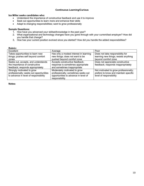# **Continuous Learning/Curious**

#### **Ice Miller seeks candidates who:**

- Understand the importance of constructive feedback and use it to improve
- Seek out opportunities to learn more and enhance their skills
- Adapt to changing responsibilities; want to grow professionally

#### **Sample Questions:**

- 1. How have you advanced your skillset/knowledge in the past year?
- 2. What organizational and technology changes have you gone through with your current/last employer? How did you handle that change?
- 3. How has your current position evolved since you started? How did you handle the added responsibilities?

| Rubri | IC. |  |
|-------|-----|--|
|       |     |  |

| Excellent                               | Average                                | Poor                                  |
|-----------------------------------------|----------------------------------------|---------------------------------------|
| Takes opportunities to learn new        | Has only a modest interest in learning | Does not take responsibility for      |
| things; pushes self beyond comfort      | new things; does not want to be        | learning new things; resists anything |
| zones                                   | pushed beyond comfort zone             | beyond comfort zone                   |
| Seeks out, accepts, and understands     | Accepts constructive feedback;         | Does not appreciate constructive      |
| the importance of constructive          | response is sometimes appropriate      | feedback; responds inappropriately    |
| feedback; responds appropriately        | and sometimes inappropriate            |                                       |
| Strongly motivated to grow              | Moderately motivated to grow           | Not motivated to grow professionally; |
| professionally; seeks out opportunities | professionally; sometimes seeks out    | prefers to know and maintain specific |
| to advance in level of responsibility   | opportunities to advance in level of   | level of responsibility               |
|                                         | responsibility                         |                                       |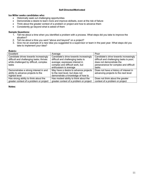# **Ice Miller seeks candidates who:**

- Historically seek out challenging opportunities
- Demonstrate a desire to learn more and improve skillsets, even at the risk of failure
- Think about the greater context of a problem or project and how to advance them
- Consistently go beyond what is asked of them

# **Sample Questions:**

- 1. Tell me about a time when you identified a problem with a process. What steps did you take to improve the situation?
- 2. Tell me about a time you went "above and beyond" on a project?
- 3. Give me an example of a new idea you suggested to a supervisor or team in the past year. What steps did you take to implement your idea?

# **Rubric:**

| Excellent                                | Average                                 | Poor                                     |
|------------------------------------------|-----------------------------------------|------------------------------------------|
| Candidate drives towards increasingly    | Candidate's drive towards increasingly  | Candidate's drive towards increasingly   |
| difficult and challenging tasks; thrives | difficult and challenging tasks is      | difficult and challenging tasks is poor; |
| while challenged by difficult, complex   | average; expresses interest in          | does not demonstrate the                 |
| tasks                                    | complex and difficult work, but         | perseverance for complex and difficult   |
|                                          | enthusiasm is average                   | tasks                                    |
| Demonstrates a strong interest in and    | May have a desire to advance projects   | Does not have a history of interest in   |
| ability to advance projects to the       | to the next level, but does not         | advancing projects to the next level     |
| highest level                            | demonstrate a knowledge of how to       |                                          |
| Has strong ability to think about the    | Has modest ability to think about the   | Does not think about the greater         |
| greater context of a problem or project  | greater context of a problem or project | context of a problem or project          |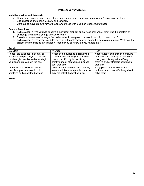# **Problem-Solver/Creative**

# **Ice Miller seeks candidates who:**

- Identify and analyze issues or problems appropriately and can identify creative and/or strategic solutions
- Explain issues and analysis clearly and concisely
- Continue to move projects forward even when faced with less than ideal circumstances

#### **Sample Questions:**

- 1. Tell me about a time you had to solve a significant problem or business challenge? What was the problem or challenge and how did you go about solving it?
- 2. Provide an example of when you've had a setback on a project or task. How did you overcome it?
- 3. Tell me about a time when you didn't have all of the information you needed to complete a project. What was the project and the missing information? What did you do? How did you handle this?

#### **Rubric:**

| Excellent                             | Average                                | Poor                                    |
|---------------------------------------|----------------------------------------|-----------------------------------------|
| Needs little guidance in identifying  | Needs some guidance in identifying     | Needs a lot of guidance in identifying  |
| problems and pathways to solutions    | problems and pathways to solutions     | problems and pathways to solutions      |
| Has brought creative and/or strategic | Has some difficulty in identifying     | Has great difficulty in identifying     |
| solutions to problems in the past     | creative and/or strategic solutions to | creative and/or strategic solutions to  |
|                                       | past problems                          | problems                                |
| Demonstrates excellent ability to     | Demonstrates some ability to identify  | Struggles to identify solutions to      |
| identify appropriate solutions to     | various solutions to a problem; may or | problems and is not effectively able to |
| problems and select the best one      | may not select the best solution       | solve them                              |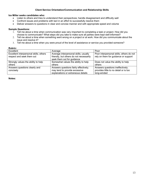# **Client Service Orientation/Communication and Relationship Skills**

# **Ice Miller seeks candidates who:**

- Listen to others and tries to understand their perspectives; handle disagreement and difficulty well
- Confront issues and problems with tact in an effort to successfully resolve them
- Deliver answers to questions in clear and concise manner and with appropriate speed and volume

#### **Sample Questions:**

- 1. Tell me about a time when communication was very important to completing a task or project. How did you choose to communicate? What steps did you take to make sure all parties were kept well-informed?
- 2. Tell me about a time when something went wrong on a project or at work. How did you communicate about the issue and resolve it?
- 3. Tell me about a time when you were proud of the level of assistance or service you provided someone?

#### **Rubric:**

| Excellent                              | Average                                 | Poor                                     |
|----------------------------------------|-----------------------------------------|------------------------------------------|
| Excellent interpersonal skills; others | Average interpersonal skills; usually   | Poor interpersonal skills; others do not |
| respect and seek them out              | friendly, but others do not necessarily | rely on them for guidance or support     |
|                                        | seek them out for guidance              |                                          |
| Strongly values the ability to help    | Somewhat values the ability to help     | Does not value the ability to help       |
| others                                 | others                                  | others                                   |
| Answers questions clearly and          | Answers questions fairly effectively;   | Answers questions ineffectively;         |
| concisely                              | may tend to provide excessive           | provides little to no detail or is too   |
|                                        | explanations or extraneous details      | long-winded                              |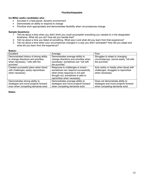# **Flexible/Adaptable**

# **Ice Miller seeks candidates who:**

- Succeed in a fast-paced, dynamic environment
- Demonstrate an ability to respond to change
- Prioritize work appropriately and demonstrates flexibility when circumstances change

#### **Sample Questions:**

- 1. Tell me about a time when you didn't think you could accomplish everything you needed to in the designated timeframe. What did you do? How did you handle that?
- 2. Tell me about a time you failed at something. What was it and what did you learn from that experience?
- 3. Tell me about a time when your circumstances changed in a way you didn't anticipate? How did you adapt and what did you learn from the experience?

#### **Rubric:**

| Excellent                                                                                                                    | Average                                                                                                                                                                          | Poor                                                                                                    |
|------------------------------------------------------------------------------------------------------------------------------|----------------------------------------------------------------------------------------------------------------------------------------------------------------------------------|---------------------------------------------------------------------------------------------------------|
| Demonstrated history of strong ability<br>to change directions and priorities<br>when necessary; "rolls with the<br>punches" | Demonstrates average ability to<br>change directions and priorities when<br>necessary; sometimes can "roll with<br>the punches"                                                  | Struggles to adapt to changing<br>circumstances; cannot easily "roll with<br>the punches"               |
| Creates successful plans when faced<br>with challenges; easily reprioritizes<br>when necessary                               | Response to challenges is mixed -<br>sometimes can respond successfully,<br>other times response is not well<br>thought out; sometimes is able to<br>reprioritize when necessary | Acts rashly or hastily when faced with<br>challenges; struggles to reprioritize<br>when necessary       |
| Demonstrates strong ability to<br>strategize and move projects forward<br>even when competing demands exist                  | Demonstrates average ability to<br>strategize and move projects forward<br>when competing demands exist                                                                          | Does not demonstrate ability to<br>strategize and move projects forward<br>when competing demands exist |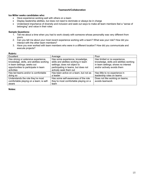# **Teamwork/Collaboration**

#### **Ice Miller seeks candidates who:**

- Have experience working well with others on a team
- Display leadership abilities, but does not need to dominate or always be in charge
- Understand importance of diversity and inclusion and seek out ways to make all team members feel a "sense of belonging" and value in their roles

# **Sample Questions:**

- 1. Tell me about a time when you had to work closely with someone whose personality was very different from yours.
- 2. Can you tell me about your most recent experience working with a team? What was your role? How did you interact with the other team members?
- 3. Have you ever worked with team members who were in a different location? How did you communicate and execute projects?

#### **Rubric:**

| Excellent                                                                                                                                                            | Average                                                                                                                                                                   | Poor                                                                                                                                           |
|----------------------------------------------------------------------------------------------------------------------------------------------------------------------|---------------------------------------------------------------------------------------------------------------------------------------------------------------------------|------------------------------------------------------------------------------------------------------------------------------------------------|
| Has strong or extensive experience,<br>knowledge, skills, and abilities working<br>in team settings; seeks out<br>opportunities to participate in team<br>activities | Has some experience, knowledge,<br>skills and abilities working in team<br>settings; does not object to<br>participating in teams, but does not<br>actively seek them out | Has limited or no experience,<br>knowledge, skills and abilities working<br>in team settings; shows no interest<br>and/or actively avoids them |
| Has led teams and/or is comfortable<br>doing so                                                                                                                      | Has been active on a team, but not as<br>a leader                                                                                                                         | Has little to no experience in<br>leadership roles on teams                                                                                    |
| Understands the role they're most<br>comfortable playing on a team; is self-<br>aware                                                                                | Has some self-awareness of the role<br>they're most comfortable playing on a<br>team                                                                                      | Does not like working on teams;<br>avoids teamwork                                                                                             |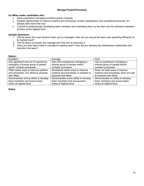#### **Manage People/Processes**

#### **Ice Miller seeks candidates who:**

- Have experience managing a diverse group of people
- Explore opportunities to improve systems and processes; avoids complacency and acceptance because "it's always been done that way"
- Commit to professionally developing team members and motivating them so the team and its individual members function at the highest level

# **Sample Questions:**

- 1. Tell me about the most dynamic team you've managed. How did you ensure the team was operating efficiently at its highest level?
- 2. Tell me about a process you manage and how you've improved it.
- 3. Have you ever been hired to manage an existing team? How did you develop the professional relationship and transform the team?

# **Rubric:**

| Excellent                              | Average                               | Poor                                 |
|----------------------------------------|---------------------------------------|--------------------------------------|
| Has significant amount of experience   | Has some experience managing a        | Has no experience managing a         |
| managing a diverse group of people     | diverse group of people and/or        | diverse group of people and/or       |
| and/or complex processes               | complex processes                     | complex processes                    |
| Often seeks ways to improve systems    | Sometimes seeks ways to improve       | Does not seek ways to improve        |
| and processes; isn't afraid to propose | systems and processes; is hesitant to | systems and processes; does not look |
| new ideas                              | propose new ideas                     | to propose new ideas                 |
| Demonstrates strong ability to develop | Demonstrates some ability to develop  | Demonstrates no ability to develop   |
| team members and ensure team           | team members and ensure team          | team members and ensure team         |
| works at highest level                 | works at highest level                | works at highest level               |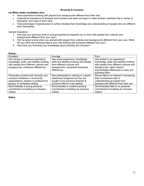# **Diversity & inclusion**

#### **Ice Miller seeks candidates who:**

- Have experience working with people from backgrounds different from their own
- Understand importance of diversity and inclusion and seek out ways to make all team members feel a "sense of belonging" and value in their roles
- Take advantage of opportunities to further develop their knowledge and understanding of people who are different from themselves

Sample Questions:

- 1. How has your previous work or school experience prepared you to work with people from cultures and backgrounds different from your own?
- 2. Tell me about a time when you worked with people from cultures and backgrounds different from your own. What did you think was important about your role working with someone different from you?
- 3. How have you furthered your knowledge about diversity and inclusion?

#### **Rubric:**

| Excellent                                                                                                                                                       | Average                                                                                                                                                     | Poor                                                                                                                                                                                                      |
|-----------------------------------------------------------------------------------------------------------------------------------------------------------------|-------------------------------------------------------------------------------------------------------------------------------------------------------------|-----------------------------------------------------------------------------------------------------------------------------------------------------------------------------------------------------------|
| Has strong or extensive experience,<br>knowledge, skills, and abilities working<br>with people from different cultures and<br>backgrounds; embraces differences | Has some experience, knowledge,<br>skills and abilities working with people<br>from different cultures and<br>backgrounds; somewhat embraces<br>differences | Has limited or no experience,<br>knowledge, skills and abilities working<br>with people from different cultures and<br>backgrounds; either doesn't<br>acknowledge differences or does not<br>embrace them |
| Personally involved with diversity and                                                                                                                          | Has participated in training or cultural                                                                                                                    | Shows little to no interest in advancing                                                                                                                                                                  |
| inclusion initiatives in community                                                                                                                              | awareness programs but has not                                                                                                                              | their involvement with or                                                                                                                                                                                 |
| organizations, student or professional                                                                                                                          | sought out to advance diversity &                                                                                                                           | understanding of people from                                                                                                                                                                              |
| groups, or workplace setting                                                                                                                                    | inclusion efforts in any setting                                                                                                                            | backgrounds different from their own                                                                                                                                                                      |
| Demonstrates a strong personal                                                                                                                                  | Demonstrates a modest personal                                                                                                                              | Demonstrates little to no personal                                                                                                                                                                        |
| commitment to building an inclusive                                                                                                                             | commitment to building an inclusive                                                                                                                         | commitment to building an inclusive                                                                                                                                                                       |
| culture                                                                                                                                                         | culture                                                                                                                                                     | culture                                                                                                                                                                                                   |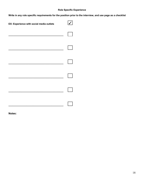# **Role Specific Experience**

**Write in any role specific requirements for the position prior to the interview, and use page as a checklist**

| EX: Experience with social media outlets |  |
|------------------------------------------|--|
|                                          |  |
|                                          |  |
|                                          |  |
|                                          |  |
|                                          |  |
|                                          |  |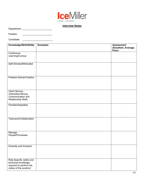

# **Interview Notes**

Department: \_\_\_\_\_\_\_\_\_\_\_\_\_\_\_\_\_\_\_\_\_\_\_

Position: \_\_\_\_\_\_\_\_\_\_\_\_\_\_\_\_\_\_\_\_\_\_\_

Candidate: \_\_\_\_\_\_\_\_\_\_\_\_\_\_\_\_\_\_\_\_\_\_\_

| Knowledge/Skill/Ability                        | <b>Examples</b> | <b>Assessment</b><br>(Excellent, Average, |
|------------------------------------------------|-----------------|-------------------------------------------|
|                                                |                 | Poor)                                     |
| Continuous                                     |                 |                                           |
| Learning/Curious                               |                 |                                           |
| Self-Directed/Motivated                        |                 |                                           |
|                                                |                 |                                           |
|                                                |                 |                                           |
| Problem-Solver/Creative                        |                 |                                           |
|                                                |                 |                                           |
|                                                |                 |                                           |
| <b>Client Service</b>                          |                 |                                           |
| Orientation/Strong<br>Communication and        |                 |                                           |
| <b>Relationship Skills</b>                     |                 |                                           |
| Flexible/Adaptable                             |                 |                                           |
|                                                |                 |                                           |
|                                                |                 |                                           |
| Teamwork/Collaboration                         |                 |                                           |
|                                                |                 |                                           |
|                                                |                 |                                           |
| Manage<br>People/Processes                     |                 |                                           |
|                                                |                 |                                           |
|                                                |                 |                                           |
| Diversity and Inclusion                        |                 |                                           |
|                                                |                 |                                           |
|                                                |                 |                                           |
| Role-Specific (skills and                      |                 |                                           |
| technical knowledge<br>required to perform the |                 |                                           |
| duties of the position)                        |                 |                                           |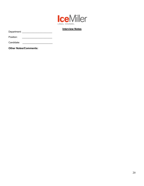

# **Interview Notes**

Department: \_\_\_\_\_\_\_\_\_\_\_\_\_\_\_\_\_\_\_\_\_\_\_

Position: \_\_\_\_\_\_\_\_\_\_\_\_\_\_\_\_\_\_\_\_\_\_\_

Candidate: \_\_\_\_\_\_\_\_\_\_\_\_\_\_\_\_\_\_\_\_\_\_\_

**Other Notes/Comments:**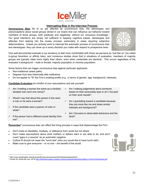

#### **Interrupting Bias in the Interview Process**

**Unconscious Bias** All of us are affected by unconscious bias, the stereotypes and preconceptions about social groups stored in our brains that can influence our behavior toward members of those groups, both positively and negatively, without our conscious knowledge.1 Our good intentions are simply not sufficient in keeping cognitive biases, stereotypes and attitudes from leaking into the review process, particularly in areas requiring subjective determinations. Unless you actively work to interrupt the automatic process of unconscious bias and stereotypes, they can show up in every decision you make with respect to prospective hires.



One well-documented example is our tendency to feel more comfortable with those we perceive as "just like us" (so-called in-group favoritism or affinity bias), and numerous studies show that in situations of evaluation, members of majority groups are typically rated more highly than others, even when credentials are identical. This occurs regardless of the evaluator's background – male or female, majority population or minority population.

Some factors that can trigger unconscious bias against particular applicants:

- Non-traditional career paths.
- Degrees from less historically elite institutions.
- Do not appear to "fit" the Firm's existing profile (e.g., in terms of gender, age, background, interests).

**Candidate Evaluation** be mindful of your assumptions and ask yourself:

| $\checkmark$ | Am I treating a woman the same as a similarly<br>situated man (and vice versa)? | $\checkmark$ | Am I making judgements about someone<br>based on their personality type or am I focused<br>on their work results? |
|--------------|---------------------------------------------------------------------------------|--------------|-------------------------------------------------------------------------------------------------------------------|
| $\checkmark$ | Would I say that about this person if she were                                  |              |                                                                                                                   |
|              | a man or he were a woman?                                                       | ✓            | Am I gravitating toward a candidate because<br>they are more like me and share similar                            |
| $\checkmark$ | If the candidate were a person of color or<br>white?                            |              | interests and background?                                                                                         |
|              |                                                                                 | ✓            | Am I focused on observable behaviors and the                                                                      |
| $\checkmark$ | If the person had a different social identity from<br>me?                       |              | facts?                                                                                                            |

Remember<sup>2</sup> unconscious bias can affect the hiring process in ways that disadvantage the Firm:

- Don't insist on likeability, modesty, or deference from some but not others.
- Don't make assumptions about what mothers or fathers want or are able to do, and don't count "gaps in a resume" as an automatic negative.
- Culture fit should not mean the "lunch test" (who you would like to have lunch with).
- Make sure to give everyone  $-$  or no one  $-$  the benefit of the doubt.



<sup>1</sup> http://www.washington.edu/diversity/faculty-advancement/handbook/assessment/

<sup>&</sup>lt;sup>2</sup> Center for WorkLife Law, 2016 http://biasinterrupters.org/wp-content/uploads/Identifying-Bias-in-Hiring-Worksheet.pdf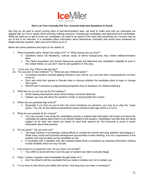

#### **Don't Let Your Curiosity Kill You: Innocent Interview Questions to Avoid**

Not only do we want to avoid running afoul of anti-discrimination laws, we want to make sure that our interviews are aligned with our Firm's values which prioritize making everyone, including job candidates, feel welcomed and comfortable. While we want you to get to know our candidates, we need to be aware of the ways that sometimes our curiosity may be out of line in an interview. If a candidate offers information about themselves voluntarily that would have answered an illegal interview question, take care not to follow up on it.

Below are some questions and topics to be careful of:

- 1. "What a beautiful name. What's the origin of it?" or "What country are you from?"
	- Questions about US Residency, cultural, racial, or ethnic backgrounds may violate antidiscrimination laws.
	- The Talent Acquisition and Human Resources groups will determine any candidate's eligibility to work in the United States, so you don't need to ask questions in this area.
- 2. "I love your ring. When is the big day?"
- 2a. "Do you plan to have children?" or "What are your childcare plans?"
	- If someone mentions recently getting married or soon will be, you can wish them congratulations, but then move on.
	- Don't ask what their spouse or fiancée does or discuss whether the candidate plans to keep or change their name.
	- NEVER ask if someone is pregnant/expecting/when they're due/plans for children/childcare.
- 3. "What did you (or will you) do for the holidays?"
	- Avoid making assumptions about what holidays someone observes.
	- Instead, you may ask about the student's winter or spring break from school.
- 4. "When did you graduate high school?"
	- Especially if you find out you're from the same hometown as someone, you may try to play the "name game." You can do this without inadvertently asking someone their age which is a no-no.
- 5. "What do your parents do for a living?"
	- You may wonder if you know the candidate's parents or believe that information will reveal a lot about the candidate but asking about them is not directly related to the position. Candidates may feel they are being judged not for their own merits but based on what their parents do. Not everyone is proud to share information about their parents.
- 6. "Do you drink?" "Do you work out?"
	- The legal industry is increasingly making efforts to combat the alcohol and drug addiction that plagues it. While many social and business development opportunities involve drinking, it is not a requirement of the position and may be taken by the candidate as one.
	- A candidate with a disability may also interpret these kinds of questions as requiring information relating to their disability which we may not ask.
- 7. "Law school is so expensive now. Do you have a lot of debt?"
	- Your effort to bond with them over the pain of student loan debt is actually illegal.
- 8. "Oops. I asked a question and immediately thought better of it."
	- Don't be afraid to tell the candidate that you made a mistake and not to answer you.
- 9. "I'm so sorry to hear about your battle with cancer, how long have you been in remission?"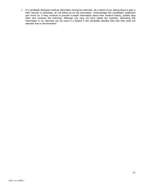• If a candidate discloses medical information during the interview, as a result of you asking about a gap in their resume or otherwise, do not follow-up on the information. Acknowledge the candidate's statement and move on. If they continue to provide in-depth information about their medical history, politely stop them and continue the interview. Although you may not have asked the question, disclosing this information in an interview can be used in a lawsuit if the candidate decides they feel they were not selected due to discrimination.